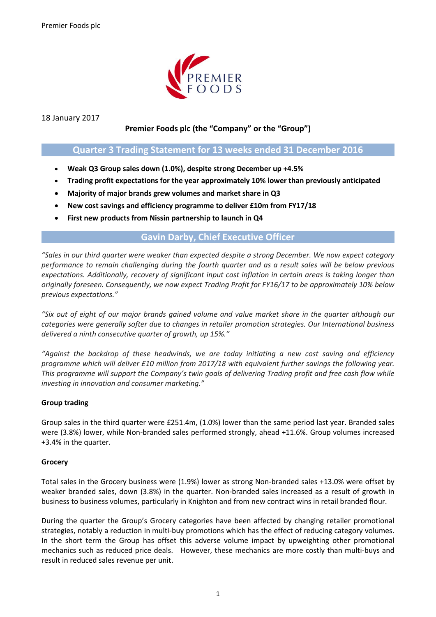

18 January 2017

# **Premier Foods plc (the "Company" or the "Group")**

# **Quarter 3 Trading Statement for 13 weeks ended 31 December 2016**

- **Weak Q3 Group sales down (1.0%), despite strong December up +4.5%**
- **Trading profit expectations for the year approximately 10% lower than previously anticipated**
- **Majority of major brands grew volumes and market share in Q3**
- **New cost savings and efficiency programme to deliver £10m from FY17/18**
- **First new products from Nissin partnership to launch in Q4**

## **Gavin Darby, Chief Executive Officer**

*"Sales in our third quarter were weaker than expected despite a strong December. We now expect category performance to remain challenging during the fourth quarter and as a result sales will be below previous expectations. Additionally, recovery of significant input cost inflation in certain areas is taking longer than originally foreseen. Consequently, we now expect Trading Profit for FY16/17 to be approximately 10% below previous expectations."*

*"Six out of eight of our major brands gained volume and value market share in the quarter although our categories were generally softer due to changes in retailer promotion strategies. Our International business delivered a ninth consecutive quarter of growth, up 15%."*

*"Against the backdrop of these headwinds, we are today initiating a new cost saving and efficiency programme which will deliver £10 million from 2017/18 with equivalent further savings the following year. This programme will support the Company's twin goals of delivering Trading profit and free cash flow while investing in innovation and consumer marketing."*

## **Group trading**

Group sales in the third quarter were £251.4m, (1.0%) lower than the same period last year. Branded sales were (3.8%) lower, while Non-branded sales performed strongly, ahead +11.6%. Group volumes increased +3.4% in the quarter.

## **Grocery**

Total sales in the Grocery business were (1.9%) lower as strong Non-branded sales +13.0% were offset by weaker branded sales, down (3.8%) in the quarter. Non-branded sales increased as a result of growth in business to business volumes, particularly in Knighton and from new contract wins in retail branded flour.

During the quarter the Group's Grocery categories have been affected by changing retailer promotional strategies, notably a reduction in multi-buy promotions which has the effect of reducing category volumes. In the short term the Group has offset this adverse volume impact by upweighting other promotional mechanics such as reduced price deals. However, these mechanics are more costly than multi-buys and result in reduced sales revenue per unit.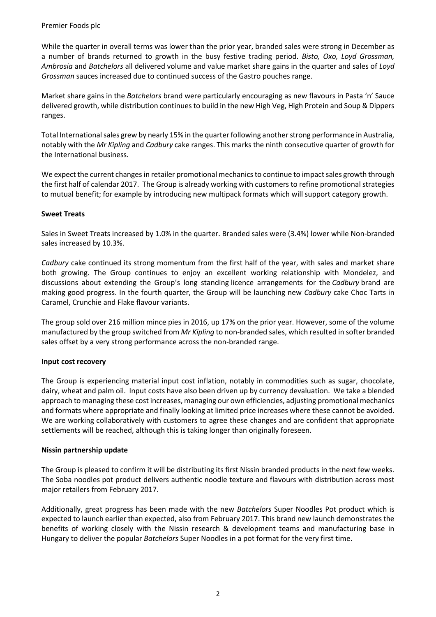Premier Foods plc

While the quarter in overall terms was lower than the prior year, branded sales were strong in December as a number of brands returned to growth in the busy festive trading period. *Bisto, Oxo, Loyd Grossman, Ambrosia* and *Batchelors* all delivered volume and value market share gains in the quarter and sales of *Loyd Grossman* sauces increased due to continued success of the Gastro pouches range.

Market share gains in the *Batchelors* brand were particularly encouraging as new flavours in Pasta 'n' Sauce delivered growth, while distribution continues to build in the new High Veg, High Protein and Soup & Dippers ranges.

Total International sales grew by nearly 15% in the quarter following another strong performance in Australia, notably with the *Mr Kipling* and *Cadbury* cake ranges. This marks the ninth consecutive quarter of growth for the International business.

We expect the current changes in retailer promotional mechanics to continue to impact sales growth through the first half of calendar 2017. The Group is already working with customers to refine promotional strategies to mutual benefit; for example by introducing new multipack formats which will support category growth.

## **Sweet Treats**

Sales in Sweet Treats increased by 1.0% in the quarter. Branded sales were (3.4%) lower while Non-branded sales increased by 10.3%.

*Cadbury* cake continued its strong momentum from the first half of the year, with sales and market share both growing. The Group continues to enjoy an excellent working relationship with Mondelez, and discussions about extending the Group's long standing licence arrangements for the *Cadbury* brand are making good progress. In the fourth quarter, the Group will be launching new *Cadbury* cake Choc Tarts in Caramel, Crunchie and Flake flavour variants.

The group sold over 216 million mince pies in 2016, up 17% on the prior year. However, some of the volume manufactured by the group switched from *Mr Kipling* to non-branded sales, which resulted in softer branded sales offset by a very strong performance across the non-branded range.

### **Input cost recovery**

The Group is experiencing material input cost inflation, notably in commodities such as sugar, chocolate, dairy, wheat and palm oil. Input costs have also been driven up by currency devaluation. We take a blended approach to managing these cost increases, managing our own efficiencies, adjusting promotional mechanics and formats where appropriate and finally looking at limited price increases where these cannot be avoided. We are working collaboratively with customers to agree these changes and are confident that appropriate settlements will be reached, although this is taking longer than originally foreseen.

## **Nissin partnership update**

The Group is pleased to confirm it will be distributing its first Nissin branded products in the next few weeks. The Soba noodles pot product delivers authentic noodle texture and flavours with distribution across most major retailers from February 2017.

Additionally, great progress has been made with the new *Batchelors* Super Noodles Pot product which is expected to launch earlier than expected, also from February 2017. This brand new launch demonstrates the benefits of working closely with the Nissin research & development teams and manufacturing base in Hungary to deliver the popular *Batchelors* Super Noodles in a pot format for the very first time.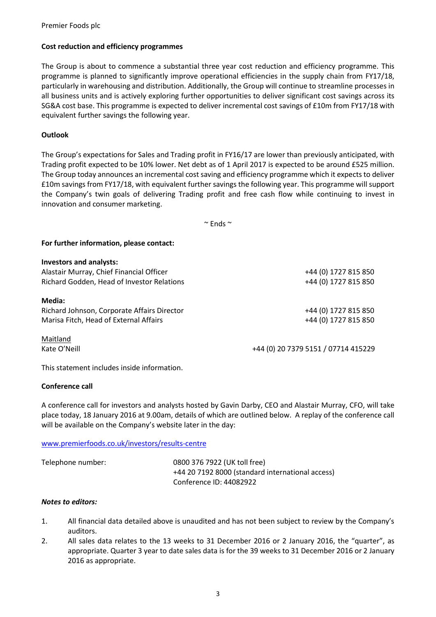### Premier Foods plc

### **Cost reduction and efficiency programmes**

The Group is about to commence a substantial three year cost reduction and efficiency programme. This programme is planned to significantly improve operational efficiencies in the supply chain from FY17/18, particularly in warehousing and distribution. Additionally, the Group will continue to streamline processes in all business units and is actively exploring further opportunities to deliver significant cost savings across its SG&A cost base. This programme is expected to deliver incremental cost savings of £10m from FY17/18 with equivalent further savings the following year.

### **Outlook**

The Group's expectations for Sales and Trading profit in FY16/17 are lower than previously anticipated, with Trading profit expected to be 10% lower. Net debt as of 1 April 2017 is expected to be around £525 million. The Group today announces an incremental cost saving and efficiency programme which it expects to deliver £10m savings from FY17/18, with equivalent further savings the following year. This programme will support the Company's twin goals of delivering Trading profit and free cash flow while continuing to invest in innovation and consumer marketing.

 $\sim$  Ends  $\sim$ 

#### **For further information, please contact:**

| <b>Investors and analysts:</b>              |                                     |
|---------------------------------------------|-------------------------------------|
| Alastair Murray, Chief Financial Officer    | +44 (0) 1727 815 850                |
| Richard Godden, Head of Investor Relations  | +44 (0) 1727 815 850                |
| Media:                                      |                                     |
| Richard Johnson, Corporate Affairs Director | +44 (0) 1727 815 850                |
| Marisa Fitch, Head of External Affairs      | +44 (0) 1727 815 850                |
| Maitland                                    |                                     |
| Kate O'Neill                                | +44 (0) 20 7379 5151 / 07714 415229 |

This statement includes inside information.

### **Conference call**

A conference call for investors and analysts hosted by Gavin Darby, CEO and Alastair Murray, CFO, will take place today, 18 January 2016 at 9.00am, details of which are outlined below. A replay of the conference call will be available on the Company's website later in the day:

#### [www.premierfoods.co.uk/investors/results-centre](http://www.premierfoods.co.uk/investors/results-centre)

| Telephone number: | 0800 376 7922 (UK toll free)                     |
|-------------------|--------------------------------------------------|
|                   | +44 20 7192 8000 (standard international access) |
|                   | Conference ID: 44082922                          |

#### *Notes to editors:*

- 1. All financial data detailed above is unaudited and has not been subject to review by the Company's auditors.
- 2. All sales data relates to the 13 weeks to 31 December 2016 or 2 January 2016, the "quarter", as appropriate. Quarter 3 year to date sales data is for the 39 weeks to 31 December 2016 or 2 January 2016 as appropriate.